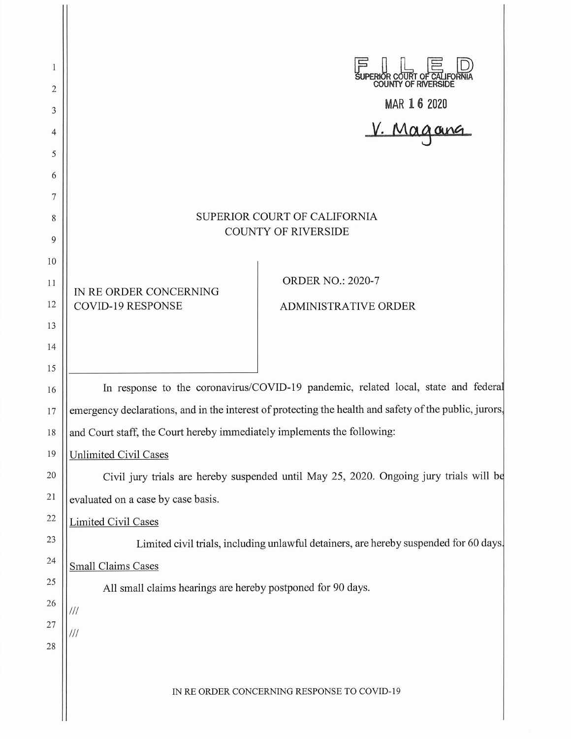| 1<br>2<br>3<br>4<br>5                                                            |                                                                                                                                                                                                                                                                                                                                                                                                                                                                                                                                                                                                                                                                                              | UPERIOR COURT OF CALIFORNIA<br>MAR 16 2020<br>V. Magang                                                               |  |
|----------------------------------------------------------------------------------|----------------------------------------------------------------------------------------------------------------------------------------------------------------------------------------------------------------------------------------------------------------------------------------------------------------------------------------------------------------------------------------------------------------------------------------------------------------------------------------------------------------------------------------------------------------------------------------------------------------------------------------------------------------------------------------------|-----------------------------------------------------------------------------------------------------------------------|--|
| 6<br>7<br>8<br>9<br>10<br>11<br>12<br>13<br>14                                   | IN RE ORDER CONCERNING<br><b>COVID-19 RESPONSE</b>                                                                                                                                                                                                                                                                                                                                                                                                                                                                                                                                                                                                                                           | SUPERIOR COURT OF CALIFORNIA<br><b>COUNTY OF RIVERSIDE</b><br><b>ORDER NO.: 2020-7</b><br><b>ADMINISTRATIVE ORDER</b> |  |
| 15<br>16<br>17<br>18<br>19<br>20<br>21<br>22<br>23<br>24<br>25<br>26<br>27<br>28 | In response to the coronavirus/COVID-19 pandemic, related local, state and federal<br>emergency declarations, and in the interest of protecting the health and safety of the public, jurors,<br>and Court staff, the Court hereby immediately implements the following:<br><b>Unlimited Civil Cases</b><br>Civil jury trials are hereby suspended until May 25, 2020. Ongoing jury trials will be<br>evaluated on a case by case basis.<br><b>Limited Civil Cases</b><br>Limited civil trials, including unlawful detainers, are hereby suspended for 60 days.<br><b>Small Claims Cases</b><br>All small claims hearings are hereby postponed for 90 days.<br>$\frac{1}{1}$<br>$\frac{1}{1}$ |                                                                                                                       |  |
|                                                                                  |                                                                                                                                                                                                                                                                                                                                                                                                                                                                                                                                                                                                                                                                                              | IN RE ORDER CONCERNING RESPONSE TO COVID-19                                                                           |  |